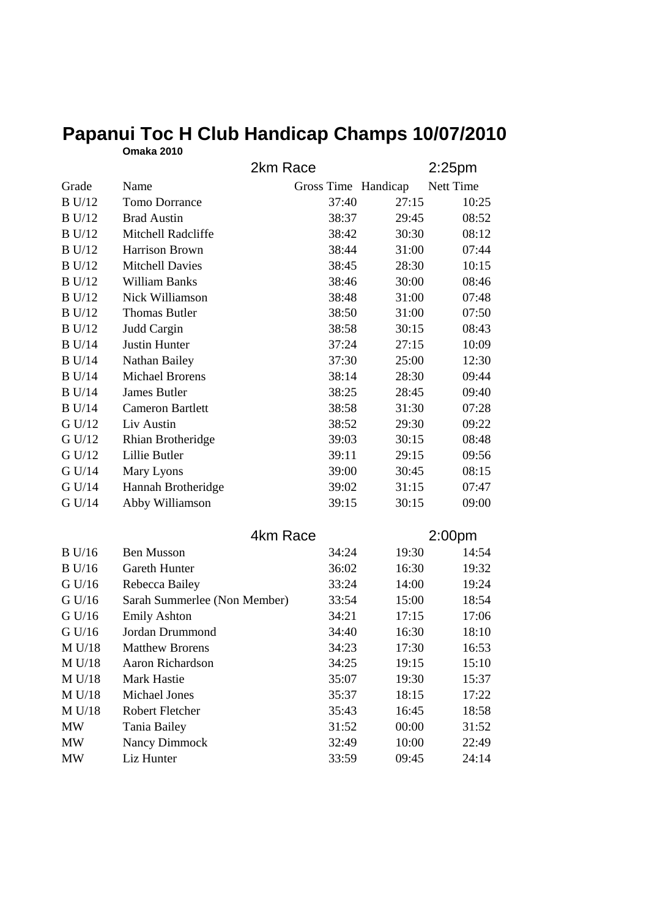|               | <b>Omaka 2010</b>            |       |                     |                    |  |
|---------------|------------------------------|-------|---------------------|--------------------|--|
|               | 2km Race                     |       |                     | 2:25pm             |  |
| Grade         | Name                         |       | Gross Time Handicap | Nett Time          |  |
| <b>B</b> U/12 | <b>Tomo Dorrance</b>         | 37:40 | 27:15               | 10:25              |  |
| <b>B</b> U/12 | <b>Brad Austin</b>           | 38:37 | 29:45               | 08:52              |  |
| <b>B</b> U/12 | Mitchell Radcliffe           | 38:42 | 30:30               | 08:12              |  |
| <b>B</b> U/12 | Harrison Brown               | 38:44 | 31:00               | 07:44              |  |
| <b>B</b> U/12 | <b>Mitchell Davies</b>       | 38:45 | 28:30               | 10:15              |  |
| B U/12        | <b>William Banks</b>         | 38:46 | 30:00               | 08:46              |  |
| <b>B</b> U/12 | Nick Williamson              | 38:48 | 31:00               | 07:48              |  |
| <b>B</b> U/12 | <b>Thomas Butler</b>         | 38:50 | 31:00               | 07:50              |  |
| <b>B</b> U/12 | Judd Cargin                  | 38:58 | 30:15               | 08:43              |  |
| <b>B</b> U/14 | Justin Hunter                | 37:24 | 27:15               | 10:09              |  |
| <b>B</b> U/14 | Nathan Bailey                | 37:30 | 25:00               | 12:30              |  |
| <b>B</b> U/14 | <b>Michael Brorens</b>       | 38:14 | 28:30               | 09:44              |  |
| B U/14        | James Butler                 | 38:25 | 28:45               | 09:40              |  |
| <b>B</b> U/14 | <b>Cameron Bartlett</b>      | 38:58 | 31:30               | 07:28              |  |
| G U/12        | Liv Austin                   | 38:52 | 29:30               | 09:22              |  |
| G U/12        | Rhian Brotheridge            | 39:03 | 30:15               | 08:48              |  |
| $G$ U/12      | Lillie Butler                | 39:11 | 29:15               | 09:56              |  |
| G U/14        | Mary Lyons                   | 39:00 | 30:45               | 08:15              |  |
| G U/14        | Hannah Brotheridge           | 39:02 | 31:15               | 07:47              |  |
| G U/14        | Abby Williamson              | 39:15 | 30:15               | 09:00              |  |
|               | 4km Race                     |       |                     | 2:00 <sub>pm</sub> |  |
| B U/16        | <b>Ben Musson</b>            | 34:24 | 19:30               | 14:54              |  |
| B U/16        | Gareth Hunter                | 36:02 | 16:30               | 19:32              |  |
| G U/16        | Rebecca Bailey               | 33:24 | 14:00               | 19:24              |  |
| G U/16        | Sarah Summerlee (Non Member) | 33:54 | 15:00               | 18:54              |  |
| G U/16        | <b>Emily Ashton</b>          | 34:21 | 17:15               | 17:06              |  |
| G U/16        | Jordan Drummond              | 34:40 | 16:30               | 18:10              |  |
| M U/18        | <b>Matthew Brorens</b>       | 34:23 | 17:30               | 16:53              |  |
| M U/18        | Aaron Richardson             | 34:25 | 19:15               | 15:10              |  |
| M U/18        | Mark Hastie                  | 35:07 | 19:30               | 15:37              |  |
| M U/18        | Michael Jones                | 35:37 | 18:15               | 17:22              |  |
| M U/18        | Robert Fletcher              | 35:43 | 16:45               | 18:58              |  |
| MW            | Tania Bailey                 | 31:52 | 00:00               | 31:52              |  |
| <b>MW</b>     | Nancy Dimmock                | 32:49 | 10:00               | 22:49              |  |
| <b>MW</b>     | Liz Hunter                   | 33:59 | 09:45               | 24:14              |  |

## **Papanui Toc H Club Handicap Champs 10/07/2010**